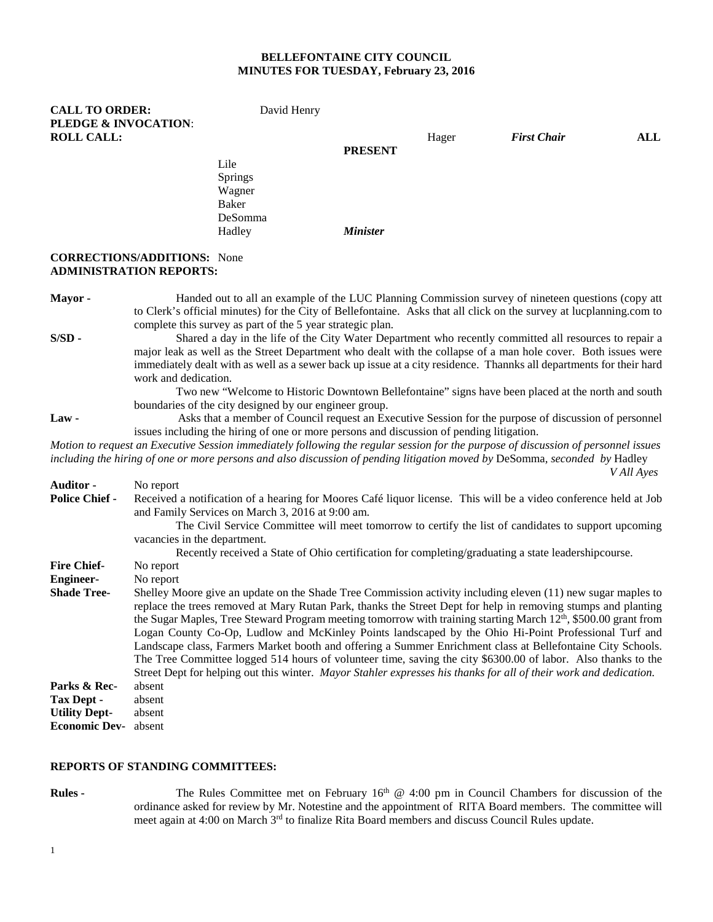#### **BELLEFONTAINE CITY COUNCIL MINUTES FOR TUESDAY, February 23, 2016**

| <b>CALL TO ORDER:</b><br><b>PLEDGE &amp; INVOCATION:</b> | David Henry |                 |       |                    |     |
|----------------------------------------------------------|-------------|-----------------|-------|--------------------|-----|
| <b>ROLL CALL:</b>                                        |             |                 | Hager | <b>First Chair</b> | ALL |
|                                                          |             | <b>PRESENT</b>  |       |                    |     |
|                                                          | Lile        |                 |       |                    |     |
|                                                          | Springs     |                 |       |                    |     |
|                                                          | Wagner      |                 |       |                    |     |
|                                                          | Baker       |                 |       |                    |     |
|                                                          | DeSomma     |                 |       |                    |     |
|                                                          | Hadley      | <b>Minister</b> |       |                    |     |
| CORRECTIONS & RETAINS MADE                               |             |                 |       |                    |     |

#### **CORRECTIONS/ADDITIONS:** None **ADMINISTRATION REPORTS:**

**Mayor -** Handed out to all an example of the LUC Planning Commission survey of nineteen questions (copy att to Clerk's official minutes) for the City of Bellefontaine. Asks that all click on the survey at lucplanning.com to complete this survey as part of the 5 year strategic plan.

**S/SD -** Shared a day in the life of the City Water Department who recently committed all resources to repair a major leak as well as the Street Department who dealt with the collapse of a man hole cover. Both issues were immediately dealt with as well as a sewer back up issue at a city residence. Thannks all departments for their hard work and dedication.

Two new "Welcome to Historic Downtown Bellefontaine" signs have been placed at the north and south boundaries of the city designed by our engineer group.

Law - **Asks that a member of Council request an Executive Session for the purpose of discussion of personnel** issues including the hiring of one or more persons and discussion of pending litigation.

*Motion to request an Executive Session immediately following the regular session for the purpose of discussion of personnel issues including the hiring of one or more persons and also discussion of pending litigation moved by* DeSomma*, seconded by* Hadley *V All Ayes*

| <b>Auditor -</b>            | No report                                                                                                                                                                                                                                                                                                                                                                                                                                                                                                                                                                                                                                                                                                                                                                                                                 |  |  |  |  |
|-----------------------------|---------------------------------------------------------------------------------------------------------------------------------------------------------------------------------------------------------------------------------------------------------------------------------------------------------------------------------------------------------------------------------------------------------------------------------------------------------------------------------------------------------------------------------------------------------------------------------------------------------------------------------------------------------------------------------------------------------------------------------------------------------------------------------------------------------------------------|--|--|--|--|
| <b>Police Chief -</b>       | Received a notification of a hearing for Moores Café liquor license. This will be a video conference held at Job<br>and Family Services on March 3, 2016 at 9:00 am.                                                                                                                                                                                                                                                                                                                                                                                                                                                                                                                                                                                                                                                      |  |  |  |  |
|                             | The Civil Service Committee will meet tomorrow to certify the list of candidates to support upcoming                                                                                                                                                                                                                                                                                                                                                                                                                                                                                                                                                                                                                                                                                                                      |  |  |  |  |
|                             | vacancies in the department.                                                                                                                                                                                                                                                                                                                                                                                                                                                                                                                                                                                                                                                                                                                                                                                              |  |  |  |  |
|                             | Recently received a State of Ohio certification for completing/graduating a state leadershipcourse.                                                                                                                                                                                                                                                                                                                                                                                                                                                                                                                                                                                                                                                                                                                       |  |  |  |  |
| <b>Fire Chief-</b>          | No report                                                                                                                                                                                                                                                                                                                                                                                                                                                                                                                                                                                                                                                                                                                                                                                                                 |  |  |  |  |
| <b>Engineer-</b>            | No report                                                                                                                                                                                                                                                                                                                                                                                                                                                                                                                                                                                                                                                                                                                                                                                                                 |  |  |  |  |
| <b>Shade Tree-</b>          | Shelley Moore give an update on the Shade Tree Commission activity including eleven (11) new sugar maples to<br>replace the trees removed at Mary Rutan Park, thanks the Street Dept for help in removing stumps and planting<br>the Sugar Maples, Tree Steward Program meeting tomorrow with training starting March 12 <sup>th</sup> , \$500.00 grant from<br>Logan County Co-Op, Ludlow and McKinley Points landscaped by the Ohio Hi-Point Professional Turf and<br>Landscape class, Farmers Market booth and offering a Summer Enrichment class at Bellefontaine City Schools.<br>The Tree Committee logged 514 hours of volunteer time, saving the city \$6300.00 of labor. Also thanks to the<br>Street Dept for helping out this winter. Mayor Stahler expresses his thanks for all of their work and dedication. |  |  |  |  |
| Parks & Rec-                | absent                                                                                                                                                                                                                                                                                                                                                                                                                                                                                                                                                                                                                                                                                                                                                                                                                    |  |  |  |  |
| Tax Dept -                  | absent                                                                                                                                                                                                                                                                                                                                                                                                                                                                                                                                                                                                                                                                                                                                                                                                                    |  |  |  |  |
| <b>Utility Dept-</b>        | absent                                                                                                                                                                                                                                                                                                                                                                                                                                                                                                                                                                                                                                                                                                                                                                                                                    |  |  |  |  |
| <b>Economic Dev-</b> absent |                                                                                                                                                                                                                                                                                                                                                                                                                                                                                                                                                                                                                                                                                                                                                                                                                           |  |  |  |  |

#### **REPORTS OF STANDING COMMITTEES:**

**Rules -** The Rules Committee met on February 16<sup>th</sup> @ 4:00 pm in Council Chambers for discussion of the ordinance asked for review by Mr. Notestine and the appointment of RITA Board members. The committee will meet again at 4:00 on March 3<sup>rd</sup> to finalize Rita Board members and discuss Council Rules update.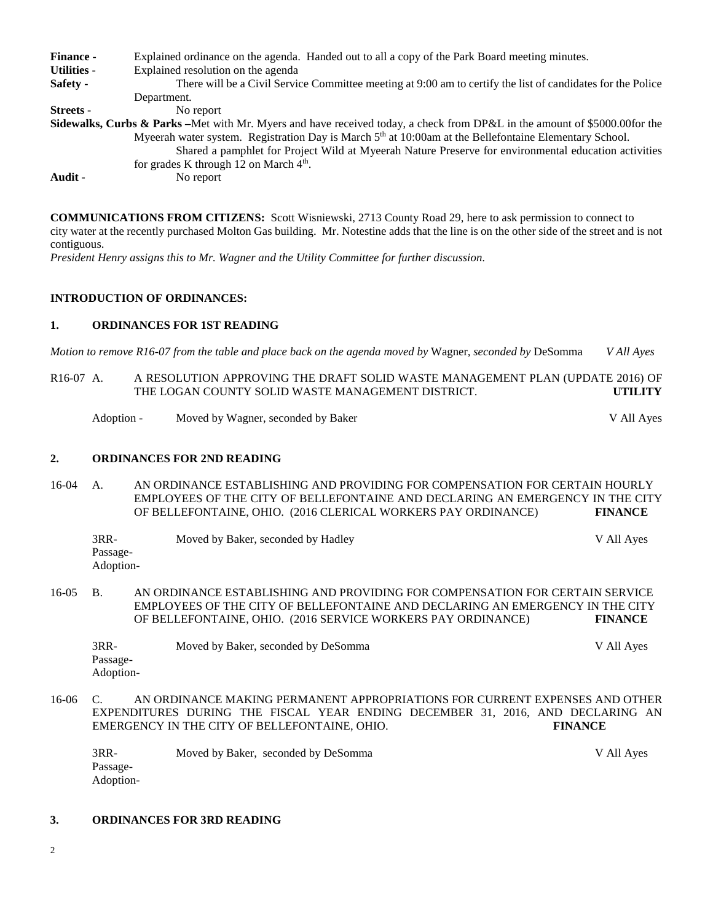| <b>Finance -</b> | Explained ordinance on the agenda. Handed out to all a copy of the Park Board meeting minutes.                                        |
|------------------|---------------------------------------------------------------------------------------------------------------------------------------|
| Utilities -      | Explained resolution on the agenda                                                                                                    |
| Safety -         | There will be a Civil Service Committee meeting at 9:00 am to certify the list of candidates for the Police                           |
|                  | Department.                                                                                                                           |
| <b>Streets -</b> | No report                                                                                                                             |
|                  | <b>Sidewalks, Curbs &amp; Parks</b> – Met with Mr. Myers and have received today, a check from DP&L in the amount of \$5000.00for the |
|                  | Myeerah water system. Registration Day is March $5th$ at 10:00am at the Bellefontaine Elementary School.                              |
|                  | Shared a pamphlet for Project Wild at Myeerah Nature Preserve for environmental education activities                                  |
|                  | for grades K through 12 on March $4th$ .                                                                                              |
| Audit -          | No report                                                                                                                             |
|                  |                                                                                                                                       |

**COMMUNICATIONS FROM CITIZENS:** Scott Wisniewski, 2713 County Road 29, here to ask permission to connect to city water at the recently purchased Molton Gas building. Mr. Notestine adds that the line is on the other side of the street and is not contiguous.

*President Henry assigns this to Mr. Wagner and the Utility Committee for further discussion.*

## **INTRODUCTION OF ORDINANCES:**

### **1. ORDINANCES FOR 1ST READING**

*Motion to remove R16-07 from the table and place back on the agenda moved by* Wagner*, seconded by* DeSomma *V All Ayes*

R16-07 A. A RESOLUTION APPROVING THE DRAFT SOLID WASTE MANAGEMENT PLAN (UPDATE 2016) OF THE LOGAN COUNTY SOLID WASTE MANAGEMENT DISTRICT. **UTILITY**

Adoption - Moved by Wagner, seconded by Baker V All Ayes

## **2. ORDINANCES FOR 2ND READING**

16-04 A. AN ORDINANCE ESTABLISHING AND PROVIDING FOR COMPENSATION FOR CERTAIN HOURLY EMPLOYEES OF THE CITY OF BELLEFONTAINE AND DECLARING AN EMERGENCY IN THE CITY OF BELLEFONTAINE, OHIO. (2016 CLERICAL WORKERS PAY ORDINANCE) **FINANCE**

| 3RR-      | Moved by Baker, seconded by Hadley | V All Aves |
|-----------|------------------------------------|------------|
| Passage-  |                                    |            |
| Adoption- |                                    |            |

16-05 B. AN ORDINANCE ESTABLISHING AND PROVIDING FOR COMPENSATION FOR CERTAIN SERVICE EMPLOYEES OF THE CITY OF BELLEFONTAINE AND DECLARING AN EMERGENCY IN THE CITY OF BELLEFONTAINE, OHIO. (2016 SERVICE WORKERS PAY ORDINANCE) **FINANCE**

| $3RR-$    | Moved by Baker, seconded by DeSomma | V All Ayes |
|-----------|-------------------------------------|------------|
| Passage-  |                                     |            |
| Adoption- |                                     |            |

16-06 C. AN ORDINANCE MAKING PERMANENT APPROPRIATIONS FOR CURRENT EXPENSES AND OTHER EXPENDITURES DURING THE FISCAL YEAR ENDING DECEMBER 31, 2016, AND DECLARING AN EMERGENCY IN THE CITY OF BELLEFONTAINE, OHIO. **FINANCE**

3RR- Moved by Baker, seconded by DeSomma V All Ayes Passage-Adoption-

## **3. ORDINANCES FOR 3RD READING**